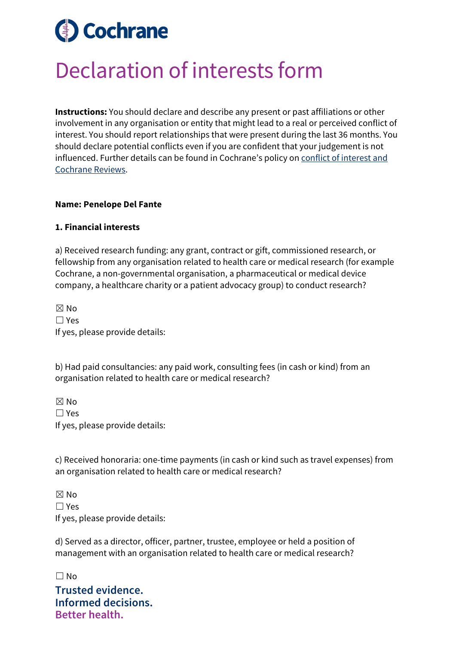# **Cochrane**

## Declaration of interests form

**Instructions:** You should declare and describe any present or past affiliations or other involvement in any organisation or entity that might lead to a real or perceived conflict of interest. You should report relationships that were present during the last 36 months. You should declare potential conflicts even if you are confident that your judgement is not influenced. Further details can be found in Cochrane's policy on [conflict of interest and](https://documentation.cochrane.org/display/EPPR/Policy%3A+conflicts+of+interest+and+Cochrane+Reviews)  [Cochrane Reviews.](https://documentation.cochrane.org/display/EPPR/Policy%3A+conflicts+of+interest+and+Cochrane+Reviews)

### **Name: Penelope Del Fante**

#### **1. Financial interests**

a) Received research funding: any grant, contract or gift, commissioned research, or fellowship from any organisation related to health care or medical research (for example Cochrane, a non-governmental organisation, a pharmaceutical or medical device company, a healthcare charity or a patient advocacy group) to conduct research?

☒ No ☐ Yes If yes, please provide details:

b) Had paid consultancies: any paid work, consulting fees (in cash or kind) from an organisation related to health care or medical research?

☒ No ☐ Yes If yes, please provide details:

c) Received honoraria: one-time payments (in cash or kind such as travel expenses) from an organisation related to health care or medical research?

 $\boxtimes$  No ☐ Yes If yes, please provide details:

d) Served as a director, officer, partner, trustee, employee or held a position of management with an organisation related to health care or medical research?

**Trusted evidence. Informed decisions. Better health.**  $\Box$  No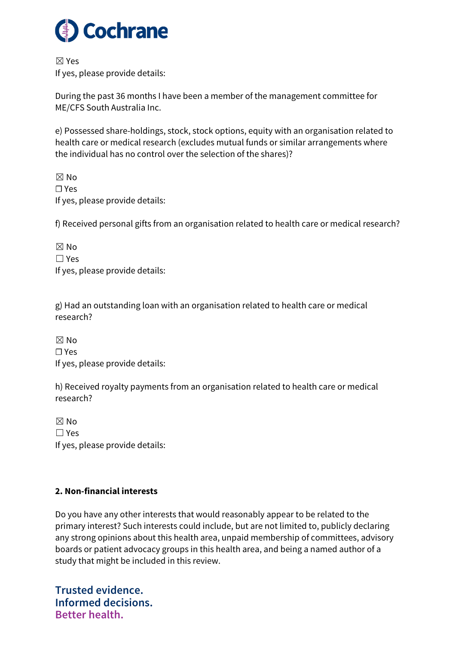

☒ Yes If yes, please provide details:

During the past 36 months I have been a member of the management committee for ME/CFS South Australia Inc.

e) Possessed share-holdings, stock, stock options, equity with an organisation related to health care or medical research (excludes mutual funds or similar arrangements where the individual has no control over the selection of the shares)?

 $\boxtimes$  No ☐ Yes If yes, please provide details:

f) Received personal gifts from an organisation related to health care or medical research?

| $\boxtimes$ No                  |
|---------------------------------|
| $\Box$ Yes                      |
| If yes, please provide details: |

g) Had an outstanding loan with an organisation related to health care or medical research?

☒ No ☐ Yes If yes, please provide details:

h) Received royalty payments from an organisation related to health care or medical research?

 $\boxtimes$  No ☐ Yes If yes, please provide details:

### **2. Non-financial interests**

Do you have any other interests that would reasonably appear to be related to the primary interest? Such interests could include, but are not limited to, publicly declaring any strong opinions about this health area, unpaid membership of committees, advisory boards or patient advocacy groups in this health area, and being a named author of a study that might be included in this review.

**Trusted evidence. Informed decisions. Better health.**